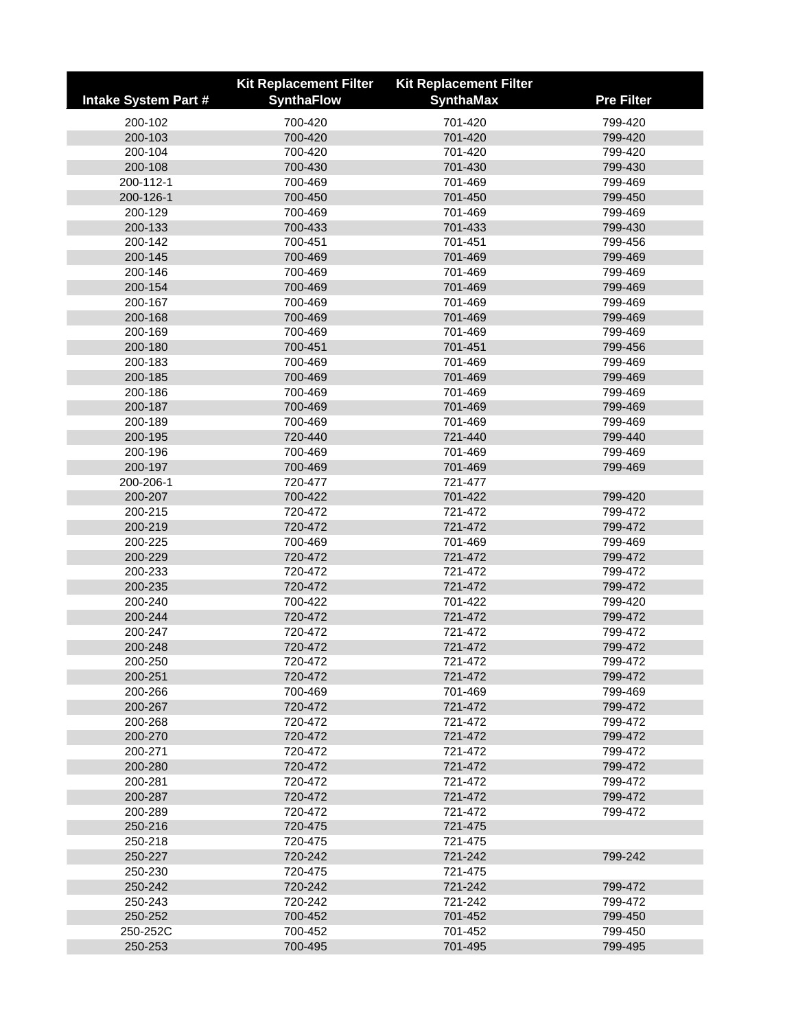|                             | <b>Kit Replacement Filter</b> | <b>Kit Replacement Filter</b> |                   |
|-----------------------------|-------------------------------|-------------------------------|-------------------|
| <b>Intake System Part #</b> | <b>SynthaFlow</b>             | <b>SynthaMax</b>              | <b>Pre Filter</b> |
| 200-102                     | 700-420                       | 701-420                       | 799-420           |
| 200-103                     | 700-420                       | 701-420                       | 799-420           |
| 200-104                     | 700-420                       | 701-420                       | 799-420           |
| 200-108                     | 700-430                       | 701-430                       | 799-430           |
| 200-112-1                   | 700-469                       | 701-469                       | 799-469           |
| 200-126-1                   | 700-450                       | 701-450                       | 799-450           |
| 200-129                     | 700-469                       | 701-469                       | 799-469           |
| 200-133                     | 700-433                       | 701-433                       | 799-430           |
| 200-142                     | 700-451                       | 701-451                       | 799-456           |
| 200-145                     | 700-469                       | 701-469                       | 799-469           |
| 200-146                     | 700-469                       | 701-469                       | 799-469           |
| 200-154                     | 700-469                       | 701-469                       | 799-469           |
| 200-167                     | 700-469                       | 701-469                       | 799-469           |
| 200-168                     | 700-469                       | 701-469                       | 799-469           |
| 200-169                     | 700-469                       | 701-469                       | 799-469           |
| 200-180                     | 700-451                       | 701-451                       | 799-456           |
| 200-183                     | 700-469                       | 701-469                       | 799-469           |
| 200-185                     | 700-469                       | 701-469                       | 799-469           |
| 200-186                     | 700-469                       | 701-469                       | 799-469           |
| 200-187                     | 700-469                       | 701-469                       | 799-469           |
| 200-189                     | 700-469                       | 701-469                       | 799-469           |
| 200-195                     | 720-440                       | 721-440                       | 799-440           |
| 200-196                     | 700-469                       | 701-469                       | 799-469           |
| 200-197                     | 700-469                       | 701-469                       | 799-469           |
| 200-206-1                   | 720-477                       | 721-477                       |                   |
| 200-207                     | 700-422                       | 701-422                       | 799-420           |
| 200-215                     | 720-472                       | 721-472                       | 799-472           |
| 200-219                     | 720-472                       | 721-472                       | 799-472           |
| 200-225                     | 700-469                       | 701-469                       | 799-469           |
| 200-229                     | 720-472                       | 721-472                       | 799-472           |
| 200-233                     | 720-472                       | 721-472                       | 799-472           |
| 200-235                     | 720-472                       | 721-472                       | 799-472           |
| 200-240                     | 700-422                       | 701-422                       | 799-420           |
| 200-244                     | 720-472                       | 721-472                       | 799-472           |
| 200-247                     | 720-472                       | 721-472                       | 799-472           |
| 200-248                     | 720-472                       | 721-472                       | 799-472           |
| 200-250                     | 720-472                       | 721-472                       | 799-472           |
| 200-251                     | 720-472                       | 721-472                       | 799-472           |
| 200-266                     | 700-469                       | 701-469                       | 799-469           |
| 200-267                     | 720-472                       | 721-472                       | 799-472           |
| 200-268                     | 720-472                       | 721-472                       | 799-472           |
| 200-270                     | 720-472                       | 721-472                       | 799-472           |
| 200-271                     | 720-472                       | 721-472                       | 799-472           |
| 200-280                     | 720-472                       | 721-472                       | 799-472           |
| 200-281                     | 720-472                       | 721-472                       | 799-472           |
| 200-287                     | 720-472                       | 721-472                       | 799-472           |
| 200-289                     | 720-472                       | 721-472                       | 799-472           |
| 250-216                     | 720-475                       | 721-475                       |                   |
| 250-218                     | 720-475                       | 721-475                       |                   |
| 250-227                     | 720-242                       | 721-242                       | 799-242           |
| 250-230                     | 720-475                       | 721-475                       |                   |
| 250-242                     | 720-242                       | 721-242                       | 799-472           |
| 250-243                     | 720-242                       | 721-242                       | 799-472           |
| 250-252                     | 700-452                       | 701-452                       | 799-450           |
| 250-252C                    | 700-452                       | 701-452                       | 799-450           |
| 250-253                     | 700-495                       | 701-495                       | 799-495           |
|                             |                               |                               |                   |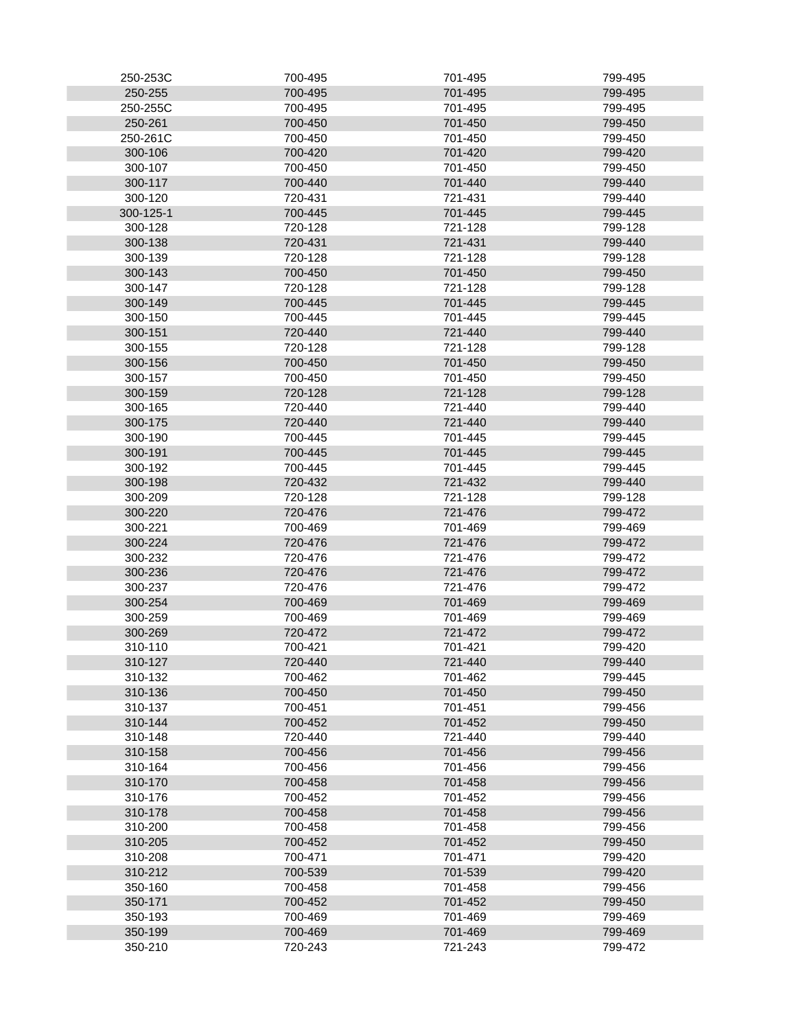| 250-253C           | 700-495            | 701-495            | 799-495            |
|--------------------|--------------------|--------------------|--------------------|
| 250-255            | 700-495            | 701-495            | 799-495            |
| 250-255C           | 700-495            | 701-495            | 799-495            |
| 250-261            | 700-450            | 701-450            | 799-450            |
| 250-261C           | 700-450            | 701-450            | 799-450            |
| 300-106            | 700-420            | 701-420            | 799-420            |
| 300-107            | 700-450            | 701-450            | 799-450            |
| 300-117            | 700-440            | 701-440            | 799-440            |
| 300-120            | 720-431            | 721-431            | 799-440            |
| 300-125-1          | 700-445            | 701-445            | 799-445            |
| 300-128            | 720-128            | 721-128            | 799-128            |
| 300-138            | 720-431            | 721-431            | 799-440            |
| 300-139            | 720-128            | 721-128            | 799-128            |
| 300-143            | 700-450            | 701-450            | 799-450            |
| 300-147            | 720-128            | 721-128            | 799-128            |
| 300-149            | 700-445            | 701-445            | 799-445            |
| 300-150            | 700-445            | 701-445            | 799-445            |
| 300-151            | 720-440            | 721-440            | 799-440            |
| 300-155            | 720-128            | 721-128            | 799-128            |
|                    |                    |                    |                    |
| 300-156<br>300-157 | 700-450<br>700-450 | 701-450<br>701-450 | 799-450<br>799-450 |
| 300-159            | 720-128            | 721-128            | 799-128            |
| 300-165            | 720-440            | 721-440            | 799-440            |
|                    |                    |                    |                    |
| 300-175            | 720-440            | 721-440            | 799-440            |
| 300-190            | 700-445            | 701-445            | 799-445            |
| 300-191<br>300-192 | 700-445<br>700-445 | 701-445<br>701-445 | 799-445<br>799-445 |
| 300-198            | 720-432            | 721-432            | 799-440            |
|                    |                    |                    |                    |
| 300-209            | 720-128            | 721-128            | 799-128            |
| 300-220<br>300-221 | 720-476<br>700-469 | 721-476            | 799-472<br>799-469 |
| 300-224            |                    | 701-469<br>721-476 |                    |
|                    | 720-476<br>720-476 | 721-476            | 799-472<br>799-472 |
| 300-232<br>300-236 | 720-476            | 721-476            | 799-472            |
| 300-237            | 720-476            | 721-476            | 799-472            |
|                    | 700-469            | 701-469            | 799-469            |
| 300-254<br>300-259 | 700-469            | 701-469            | 799-469            |
| 300-269            | 720-472            | 721-472            | 799-472            |
| 310-110            | 700-421            | 701-421            | 799-420            |
|                    |                    | 721-440            |                    |
| 310-127<br>310-132 | 720-440<br>700-462 | 701-462            | 799-440<br>799-445 |
| 310-136            | 700-450            | 701-450            | 799-450            |
| 310-137            | 700-451            | 701-451            | 799-456            |
| 310-144            | 700-452            | 701-452            | 799-450            |
|                    |                    |                    |                    |
| 310-148            | 720-440<br>700-456 | 721-440<br>701-456 | 799-440            |
| 310-158            | 700-456            | 701-456            | 799-456<br>799-456 |
| 310-164<br>310-170 | 700-458            | 701-458            | 799-456            |
| 310-176            | 700-452            | 701-452            | 799-456            |
| 310-178            | 700-458            | 701-458            | 799-456            |
| 310-200            | 700-458            | 701-458            | 799-456            |
| 310-205            | 700-452            | 701-452            | 799-450            |
| 310-208            | 700-471            | 701-471            | 799-420            |
| 310-212            | 700-539            | 701-539            | 799-420            |
| 350-160            | 700-458            | 701-458            | 799-456            |
| 350-171            | 700-452            | 701-452            | 799-450            |
| 350-193            | 700-469            | 701-469            | 799-469            |
| 350-199            | 700-469            | 701-469            | 799-469            |
| 350-210            | 720-243            | 721-243            | 799-472            |
|                    |                    |                    |                    |